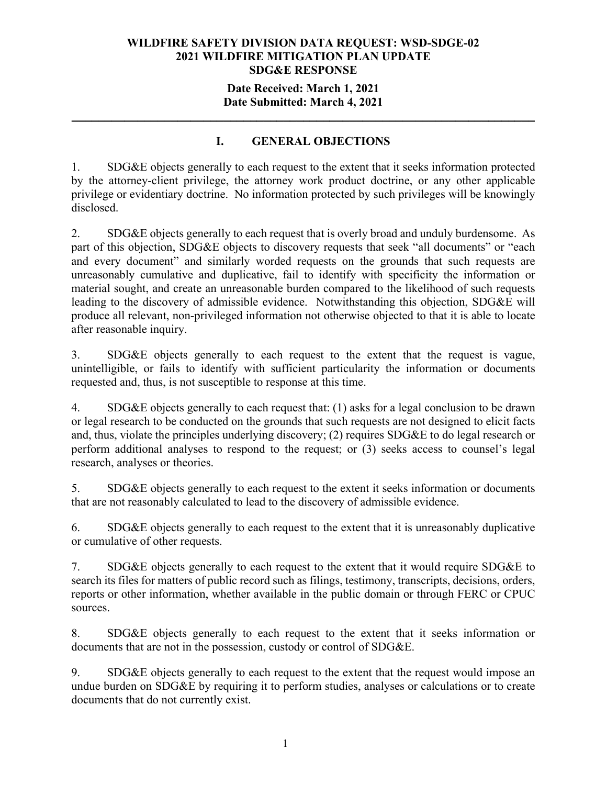## **Date Received: March 1, 2021 Date Submitted: March 4, 2021**

## **I. GENERAL OBJECTIONS**

**\_\_\_\_\_\_\_\_\_\_\_\_\_\_\_\_\_\_\_\_\_\_\_\_\_\_\_\_\_\_\_\_\_\_\_\_\_\_\_\_\_\_\_\_\_\_\_\_\_\_\_\_\_\_\_\_\_\_\_\_\_\_\_\_\_\_\_\_\_\_** 

1. SDG&E objects generally to each request to the extent that it seeks information protected by the attorney-client privilege, the attorney work product doctrine, or any other applicable privilege or evidentiary doctrine. No information protected by such privileges will be knowingly disclosed.

2. SDG&E objects generally to each request that is overly broad and unduly burdensome. As part of this objection, SDG&E objects to discovery requests that seek "all documents" or "each and every document" and similarly worded requests on the grounds that such requests are unreasonably cumulative and duplicative, fail to identify with specificity the information or material sought, and create an unreasonable burden compared to the likelihood of such requests leading to the discovery of admissible evidence. Notwithstanding this objection, SDG&E will produce all relevant, non-privileged information not otherwise objected to that it is able to locate after reasonable inquiry.

3. SDG&E objects generally to each request to the extent that the request is vague, unintelligible, or fails to identify with sufficient particularity the information or documents requested and, thus, is not susceptible to response at this time.

4. SDG&E objects generally to each request that: (1) asks for a legal conclusion to be drawn or legal research to be conducted on the grounds that such requests are not designed to elicit facts and, thus, violate the principles underlying discovery; (2) requires SDG&E to do legal research or perform additional analyses to respond to the request; or (3) seeks access to counsel's legal research, analyses or theories.

5. SDG&E objects generally to each request to the extent it seeks information or documents that are not reasonably calculated to lead to the discovery of admissible evidence.

6. SDG&E objects generally to each request to the extent that it is unreasonably duplicative or cumulative of other requests.

7. SDG&E objects generally to each request to the extent that it would require SDG&E to search its files for matters of public record such as filings, testimony, transcripts, decisions, orders, reports or other information, whether available in the public domain or through FERC or CPUC sources.

8. SDG&E objects generally to each request to the extent that it seeks information or documents that are not in the possession, custody or control of SDG&E.

9. SDG&E objects generally to each request to the extent that the request would impose an undue burden on SDG&E by requiring it to perform studies, analyses or calculations or to create documents that do not currently exist.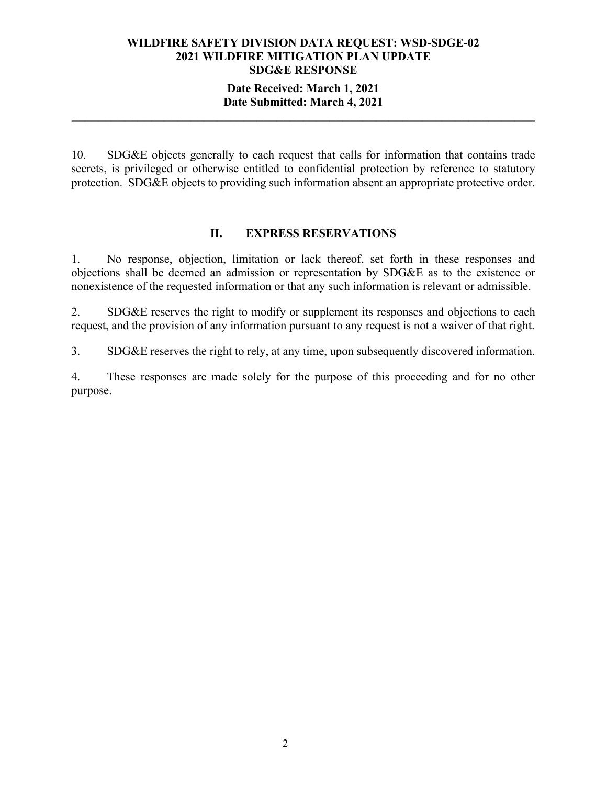## **Date Received: March 1, 2021 Date Submitted: March 4, 2021**

**\_\_\_\_\_\_\_\_\_\_\_\_\_\_\_\_\_\_\_\_\_\_\_\_\_\_\_\_\_\_\_\_\_\_\_\_\_\_\_\_\_\_\_\_\_\_\_\_\_\_\_\_\_\_\_\_\_\_\_\_\_\_\_\_\_\_\_\_\_\_** 

10. SDG&E objects generally to each request that calls for information that contains trade secrets, is privileged or otherwise entitled to confidential protection by reference to statutory protection. SDG&E objects to providing such information absent an appropriate protective order.

#### **II. EXPRESS RESERVATIONS**

1. No response, objection, limitation or lack thereof, set forth in these responses and objections shall be deemed an admission or representation by SDG&E as to the existence or nonexistence of the requested information or that any such information is relevant or admissible.

2. SDG&E reserves the right to modify or supplement its responses and objections to each request, and the provision of any information pursuant to any request is not a waiver of that right.

3. SDG&E reserves the right to rely, at any time, upon subsequently discovered information.

4. These responses are made solely for the purpose of this proceeding and for no other purpose.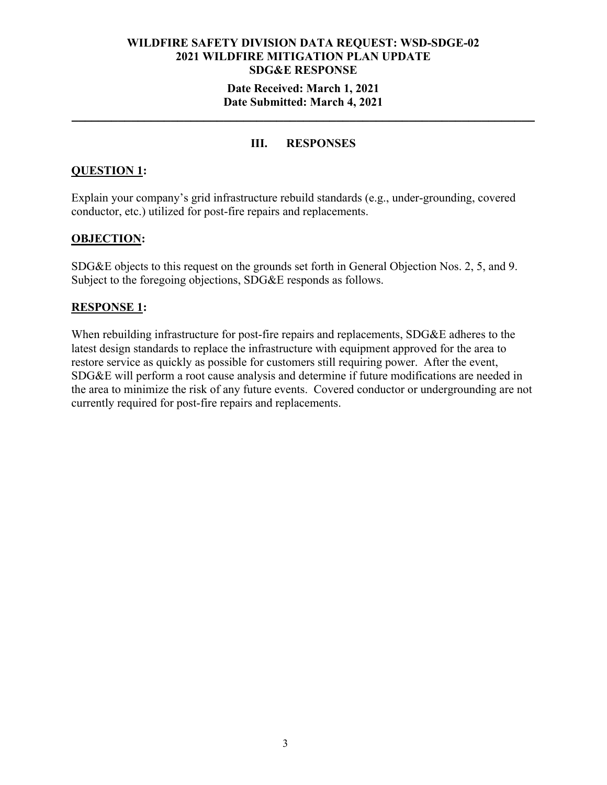## **Date Received: March 1, 2021 Date Submitted: March 4, 2021**

## **III. RESPONSES**

**\_\_\_\_\_\_\_\_\_\_\_\_\_\_\_\_\_\_\_\_\_\_\_\_\_\_\_\_\_\_\_\_\_\_\_\_\_\_\_\_\_\_\_\_\_\_\_\_\_\_\_\_\_\_\_\_\_\_\_\_\_\_\_\_\_\_\_\_\_\_** 

## **QUESTION 1:**

Explain your company's grid infrastructure rebuild standards (e.g., under-grounding, covered conductor, etc.) utilized for post-fire repairs and replacements.

### **OBJECTION:**

SDG&E objects to this request on the grounds set forth in General Objection Nos. 2, 5, and 9. Subject to the foregoing objections, SDG&E responds as follows.

#### **RESPONSE 1:**

When rebuilding infrastructure for post-fire repairs and replacements, SDG&E adheres to the latest design standards to replace the infrastructure with equipment approved for the area to restore service as quickly as possible for customers still requiring power. After the event, SDG&E will perform a root cause analysis and determine if future modifications are needed in the area to minimize the risk of any future events. Covered conductor or undergrounding are not currently required for post-fire repairs and replacements.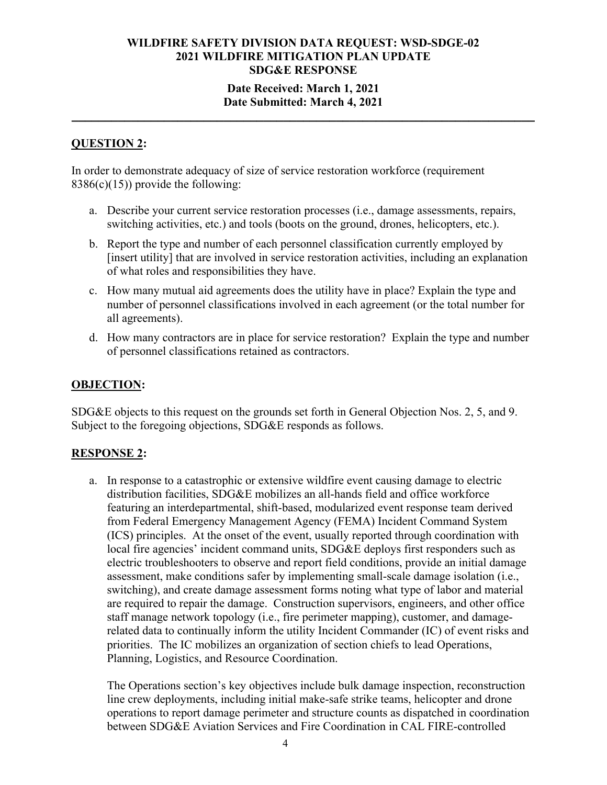### **Date Received: March 1, 2021 Date Submitted: March 4, 2021**

**\_\_\_\_\_\_\_\_\_\_\_\_\_\_\_\_\_\_\_\_\_\_\_\_\_\_\_\_\_\_\_\_\_\_\_\_\_\_\_\_\_\_\_\_\_\_\_\_\_\_\_\_\_\_\_\_\_\_\_\_\_\_\_\_\_\_\_\_\_\_** 

## **QUESTION 2:**

In order to demonstrate adequacy of size of service restoration workforce (requirement  $8386(c)(15)$ ) provide the following:

- a. Describe your current service restoration processes (i.e., damage assessments, repairs, switching activities, etc.) and tools (boots on the ground, drones, helicopters, etc.).
- b. Report the type and number of each personnel classification currently employed by [insert utility] that are involved in service restoration activities, including an explanation of what roles and responsibilities they have.
- c. How many mutual aid agreements does the utility have in place? Explain the type and number of personnel classifications involved in each agreement (or the total number for all agreements).
- d. How many contractors are in place for service restoration? Explain the type and number of personnel classifications retained as contractors.

### **OBJECTION:**

SDG&E objects to this request on the grounds set forth in General Objection Nos. 2, 5, and 9. Subject to the foregoing objections, SDG&E responds as follows.

## **RESPONSE 2:**

a. In response to a catastrophic or extensive wildfire event causing damage to electric distribution facilities, SDG&E mobilizes an all-hands field and office workforce featuring an interdepartmental, shift-based, modularized event response team derived from Federal Emergency Management Agency (FEMA) Incident Command System (ICS) principles. At the onset of the event, usually reported through coordination with local fire agencies' incident command units, SDG&E deploys first responders such as electric troubleshooters to observe and report field conditions, provide an initial damage assessment, make conditions safer by implementing small-scale damage isolation (i.e., switching), and create damage assessment forms noting what type of labor and material are required to repair the damage. Construction supervisors, engineers, and other office staff manage network topology (i.e., fire perimeter mapping), customer, and damagerelated data to continually inform the utility Incident Commander (IC) of event risks and priorities. The IC mobilizes an organization of section chiefs to lead Operations, Planning, Logistics, and Resource Coordination.

The Operations section's key objectives include bulk damage inspection, reconstruction line crew deployments, including initial make-safe strike teams, helicopter and drone operations to report damage perimeter and structure counts as dispatched in coordination between SDG&E Aviation Services and Fire Coordination in CAL FIRE-controlled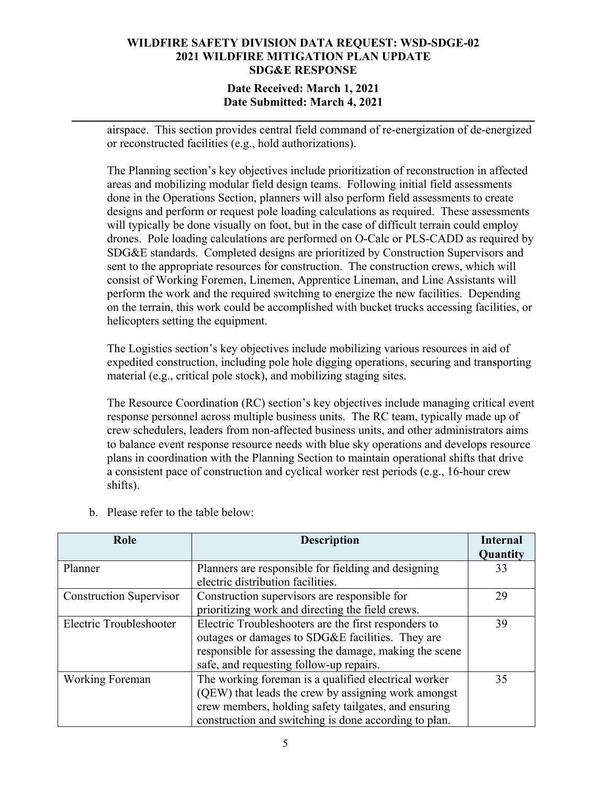## **Date Received: March 1, 2021 Date Submitted: March 4, 2021**

**\_\_\_\_\_\_\_\_\_\_\_\_\_\_\_\_\_\_\_\_\_\_\_\_\_\_\_\_\_\_\_\_\_\_\_\_\_\_\_\_\_\_\_\_\_\_\_\_\_\_\_\_\_\_\_\_\_\_\_\_\_\_\_\_\_\_\_\_\_\_** 

airspace. This section provides central field command of re-energization of de-energized or reconstructed facilities (e.g., hold authorizations).

The Planning section's key objectives include prioritization of reconstruction in affected areas and mobilizing modular field design teams. Following initial field assessments done in the Operations Section, planners will also perform field assessments to create designs and perform or request pole loading calculations as required. These assessments will typically be done visually on foot, but in the case of difficult terrain could employ drones. Pole loading calculations are performed on O-Calc or PLS-CADD as required by SDG&E standards. Completed designs are prioritized by Construction Supervisors and sent to the appropriate resources for construction. The construction crews, which will consist of Working Foremen, Linemen, Apprentice Lineman, and Line Assistants will perform the work and the required switching to energize the new facilities. Depending on the terrain, this work could be accomplished with bucket trucks accessing facilities, or helicopters setting the equipment.

The Logistics section's key objectives include mobilizing various resources in aid of expedited construction, including pole hole digging operations, securing and transporting material (e.g., critical pole stock), and mobilizing staging sites.

The Resource Coordination (RC) section's key objectives include managing critical event response personnel across multiple business units. The RC team, typically made up of crew schedulers, leaders from non-affected business units, and other administrators aims to balance event response resource needs with blue sky operations and develops resource plans in coordination with the Planning Section to maintain operational shifts that drive a consistent pace of construction and cyclical worker rest periods (e.g., 16-hour crew shifts).

| Role                           | <b>Description</b>                                     | <b>Internal</b> |
|--------------------------------|--------------------------------------------------------|-----------------|
|                                |                                                        | Quantity        |
| Planner                        | Planners are responsible for fielding and designing    | 33              |
|                                | electric distribution facilities.                      |                 |
| <b>Construction Supervisor</b> | Construction supervisors are responsible for           | 29              |
|                                | prioritizing work and directing the field crews.       |                 |
| Electric Troubleshooter        | Electric Troubleshooters are the first responders to   | 39              |
|                                | outages or damages to SDG&E facilities. They are       |                 |
|                                | responsible for assessing the damage, making the scene |                 |
|                                | safe, and requesting follow-up repairs.                |                 |
| <b>Working Foreman</b>         | The working foreman is a qualified electrical worker   | 35              |
|                                | (QEW) that leads the crew by assigning work amongst    |                 |
|                                | crew members, holding safety tailgates, and ensuring   |                 |
|                                | construction and switching is done according to plan.  |                 |

b. Please refer to the table below: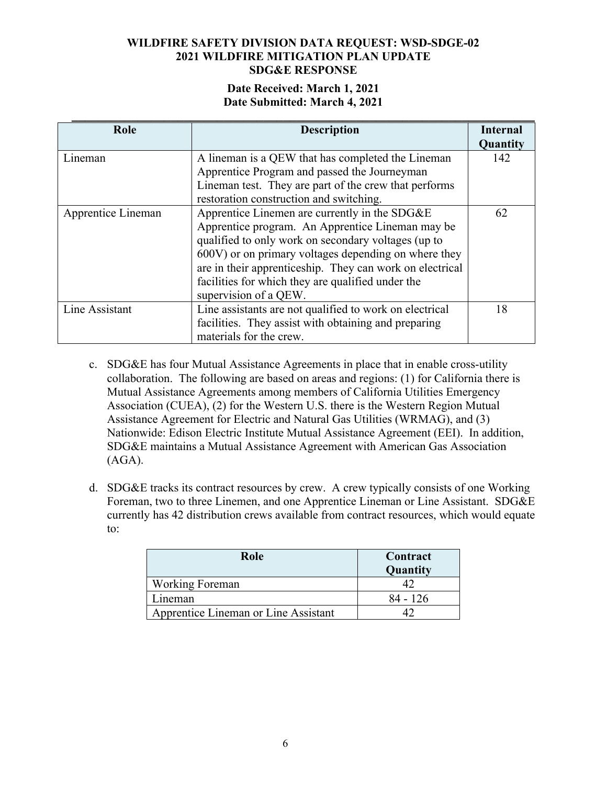## **Date Received: March 1, 2021 Date Submitted: March 4, 2021**

| Role               | <b>Description</b>                                                                                                                                                                                                                                                                                                                                         | Internal<br>Quantity |
|--------------------|------------------------------------------------------------------------------------------------------------------------------------------------------------------------------------------------------------------------------------------------------------------------------------------------------------------------------------------------------------|----------------------|
| Lineman            | A lineman is a QEW that has completed the Lineman<br>Apprentice Program and passed the Journeyman<br>Lineman test. They are part of the crew that performs<br>restoration construction and switching.                                                                                                                                                      | 142                  |
| Apprentice Lineman | Apprentice Linemen are currently in the SDG&E<br>Apprentice program. An Apprentice Lineman may be<br>qualified to only work on secondary voltages (up to<br>600V) or on primary voltages depending on where they<br>are in their apprenticeship. They can work on electrical<br>facilities for which they are qualified under the<br>supervision of a QEW. | 62                   |
| Line Assistant     | Line assistants are not qualified to work on electrical<br>facilities. They assist with obtaining and preparing<br>materials for the crew.                                                                                                                                                                                                                 | 18                   |

- c. SDG&E has four Mutual Assistance Agreements in place that in enable cross-utility collaboration. The following are based on areas and regions: (1) for California there is Mutual Assistance Agreements among members of California Utilities Emergency Association (CUEA), (2) for the Western U.S. there is the Western Region Mutual Assistance Agreement for Electric and Natural Gas Utilities (WRMAG), and (3) Nationwide: Edison Electric Institute Mutual Assistance Agreement (EEI). In addition, SDG&E maintains a Mutual Assistance Agreement with American Gas Association (AGA).
- d. SDG&E tracks its contract resources by crew. A crew typically consists of one Working Foreman, two to three Linemen, and one Apprentice Lineman or Line Assistant. SDG&E currently has 42 distribution crews available from contract resources, which would equate to:

| Role                                 | Contract<br>Quantity |  |
|--------------------------------------|----------------------|--|
| Working Foreman                      |                      |  |
| ⊥ineman                              | 84 - 126             |  |
| Apprentice Lineman or Line Assistant |                      |  |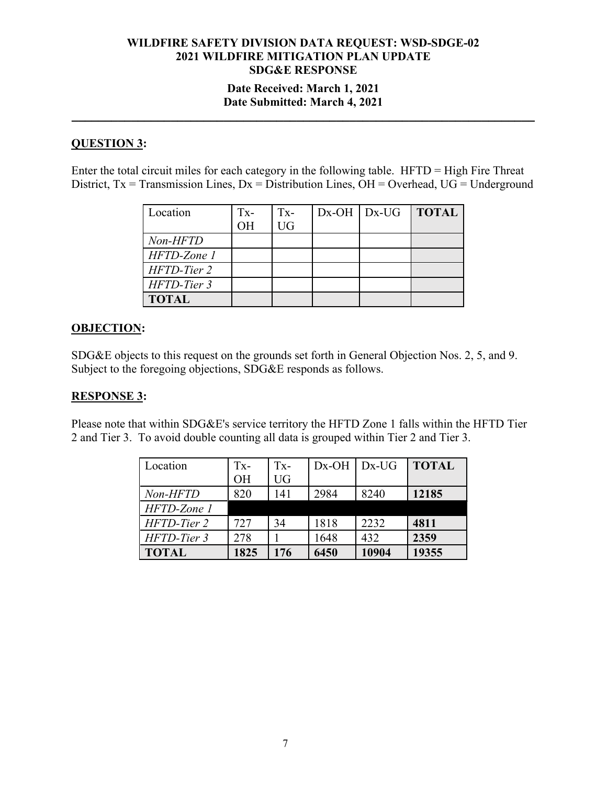## **Date Received: March 1, 2021 Date Submitted: March 4, 2021**

**\_\_\_\_\_\_\_\_\_\_\_\_\_\_\_\_\_\_\_\_\_\_\_\_\_\_\_\_\_\_\_\_\_\_\_\_\_\_\_\_\_\_\_\_\_\_\_\_\_\_\_\_\_\_\_\_\_\_\_\_\_\_\_\_\_\_\_\_\_\_** 

# **QUESTION 3:**

Enter the total circuit miles for each category in the following table. HFTD = High Fire Threat District,  $Tx = Transmission Lines, Dx = Distribution Lines, OH = Overhead, UG = Underground$ 

| Location     | $Tx-$ | $Tx -$    | $Dx$ -OH   $Dx$ -UG | <b>TOTAL</b> |
|--------------|-------|-----------|---------------------|--------------|
|              | OН    | <b>UG</b> |                     |              |
| Non-HFTD     |       |           |                     |              |
| HFTD-Zone 1  |       |           |                     |              |
| HFTD-Tier 2  |       |           |                     |              |
| HFTD-Tier 3  |       |           |                     |              |
| <b>TOTAL</b> |       |           |                     |              |

## **OBJECTION:**

SDG&E objects to this request on the grounds set forth in General Objection Nos. 2, 5, and 9. Subject to the foregoing objections, SDG&E responds as follows.

## **RESPONSE 3:**

Please note that within SDG&E's service territory the HFTD Zone 1 falls within the HFTD Tier 2 and Tier 3. To avoid double counting all data is grouped within Tier 2 and Tier 3.

| Location     | $Tx-$ | $Tx-$     | $Dx$ -OH Dx-UG |       | <b>TOTAL</b> |
|--------------|-------|-----------|----------------|-------|--------------|
|              | OH    | <b>UG</b> |                |       |              |
| Non-HFTD     | 820   | 141       | 2984           | 8240  | 12185        |
| HFTD-Zone 1  |       |           |                |       |              |
| HFTD-Tier 2  | 727   | 34        | 1818           | 2232  | 4811         |
| HFTD-Tier 3  | 278   |           | 1648           | 432   | 2359         |
| <b>TOTAL</b> | 1825  | 176       | 6450           | 10904 | 19355        |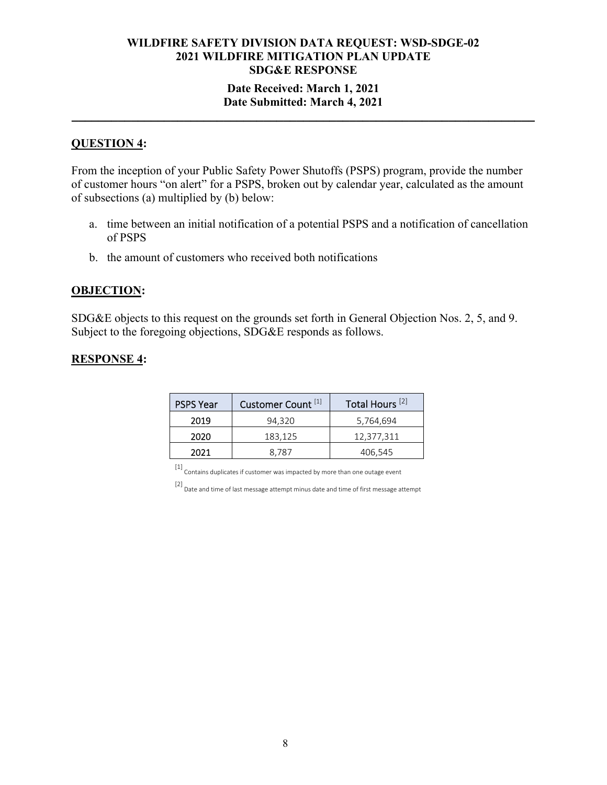### **Date Received: March 1, 2021 Date Submitted: March 4, 2021 \_\_\_\_\_\_\_\_\_\_\_\_\_\_\_\_\_\_\_\_\_\_\_\_\_\_\_\_\_\_\_\_\_\_\_\_\_\_\_\_\_\_\_\_\_\_\_\_\_\_\_\_\_\_\_\_\_\_\_\_\_\_\_\_\_\_\_\_\_\_**

## **QUESTION 4:**

From the inception of your Public Safety Power Shutoffs (PSPS) program, provide the number of customer hours "on alert" for a PSPS, broken out by calendar year, calculated as the amount of subsections (a) multiplied by (b) below:

- a. time between an initial notification of a potential PSPS and a notification of cancellation of PSPS
- b. the amount of customers who received both notifications

## **OBJECTION:**

SDG&E objects to this request on the grounds set forth in General Objection Nos. 2, 5, and 9. Subject to the foregoing objections, SDG&E responds as follows.

#### **RESPONSE 4:**

| <b>PSPS Year</b> | Customer Count <sup>[1]</sup> | Total Hours <sup>[2]</sup> |
|------------------|-------------------------------|----------------------------|
| 2019             | 94.320                        | 5,764,694                  |
| 2020             | 183,125                       | 12,377,311                 |
| 2021             | 8.787                         | 406,545                    |

 $\left[ 1\right]$  Contains duplicates if customer was impacted by more than one outage event

[2] Date and time of last message attempt minus date and time of first message attempt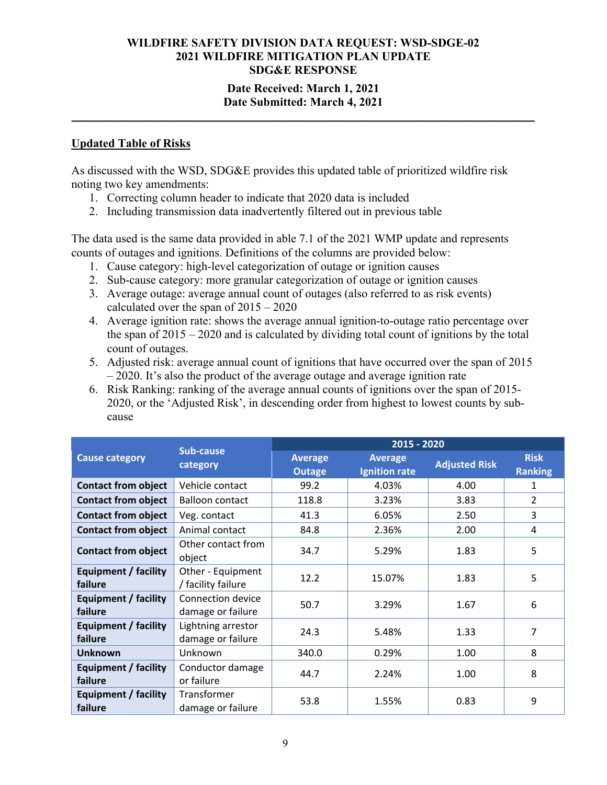## **Date Received: March 1, 2021 Date Submitted: March 4, 2021**

**\_\_\_\_\_\_\_\_\_\_\_\_\_\_\_\_\_\_\_\_\_\_\_\_\_\_\_\_\_\_\_\_\_\_\_\_\_\_\_\_\_\_\_\_\_\_\_\_\_\_\_\_\_\_\_\_\_\_\_\_\_\_\_\_\_\_\_\_\_\_** 

#### **Updated Table of Risks**

As discussed with the WSD, SDG&E provides this updated table of prioritized wildfire risk noting two key amendments:

- 1. Correcting column header to indicate that 2020 data is included
- 2. Including transmission data inadvertently filtered out in previous table

The data used is the same data provided in able 7.1 of the 2021 WMP update and represents counts of outages and ignitions. Definitions of the columns are provided below:

- 1. Cause category: high-level categorization of outage or ignition causes
- 2. Sub-cause category: more granular categorization of outage or ignition causes
- 3. Average outage: average annual count of outages (also referred to as risk events) calculated over the span of 2015 – 2020
- 4. Average ignition rate: shows the average annual ignition-to-outage ratio percentage over the span of  $2015 - 2020$  and is calculated by dividing total count of ignitions by the total count of outages.
- 5. Adjusted risk: average annual count of ignitions that have occurred over the span of 2015 – 2020. It's also the product of the average outage and average ignition rate
- 6. Risk Ranking: ranking of the average annual counts of ignitions over the span of 2015- 2020, or the 'Adjusted Risk', in descending order from highest to lowest counts by subcause

|                                 | Sub-cause<br>category                   | 2015 - 2020                     |                                        |                      |                               |  |
|---------------------------------|-----------------------------------------|---------------------------------|----------------------------------------|----------------------|-------------------------------|--|
| <b>Cause category</b>           |                                         | <b>Average</b><br><b>Outage</b> | <b>Average</b><br><b>Ignition rate</b> | <b>Adjusted Risk</b> | <b>Risk</b><br><b>Ranking</b> |  |
| <b>Contact from object</b>      | Vehicle contact                         | 99.2                            | 4.03%                                  | 4.00                 | 1                             |  |
| <b>Contact from object</b>      | <b>Balloon contact</b>                  | 118.8                           | 3.23%                                  | 3.83                 | $\overline{2}$                |  |
| <b>Contact from object</b>      | Veg. contact                            | 41.3                            | 6.05%                                  | 2.50                 | 3                             |  |
| <b>Contact from object</b>      | Animal contact                          | 84.8                            | 2.36%                                  | 2.00                 | 4                             |  |
| <b>Contact from object</b>      | Other contact from<br>object            | 34.7                            | 5.29%                                  | 1.83                 | 5                             |  |
| Equipment / facility<br>failure | Other - Equipment<br>/ facility failure | 12.2                            | 15.07%                                 | 1.83                 | 5                             |  |
| Equipment / facility<br>failure | Connection device<br>damage or failure  | 50.7                            | 3.29%                                  | 1.67                 | 6                             |  |
| Equipment / facility<br>failure | Lightning arrestor<br>damage or failure | 24.3                            | 5.48%                                  | 1.33                 | 7                             |  |
| <b>Unknown</b>                  | Unknown                                 | 340.0                           | 0.29%                                  | 1.00                 | 8                             |  |
| Equipment / facility<br>failure | Conductor damage<br>or failure          | 44.7                            | 2.24%                                  | 1.00                 | 8                             |  |
| Equipment / facility<br>failure | Transformer<br>damage or failure        | 53.8                            | 1.55%                                  | 0.83                 | 9                             |  |